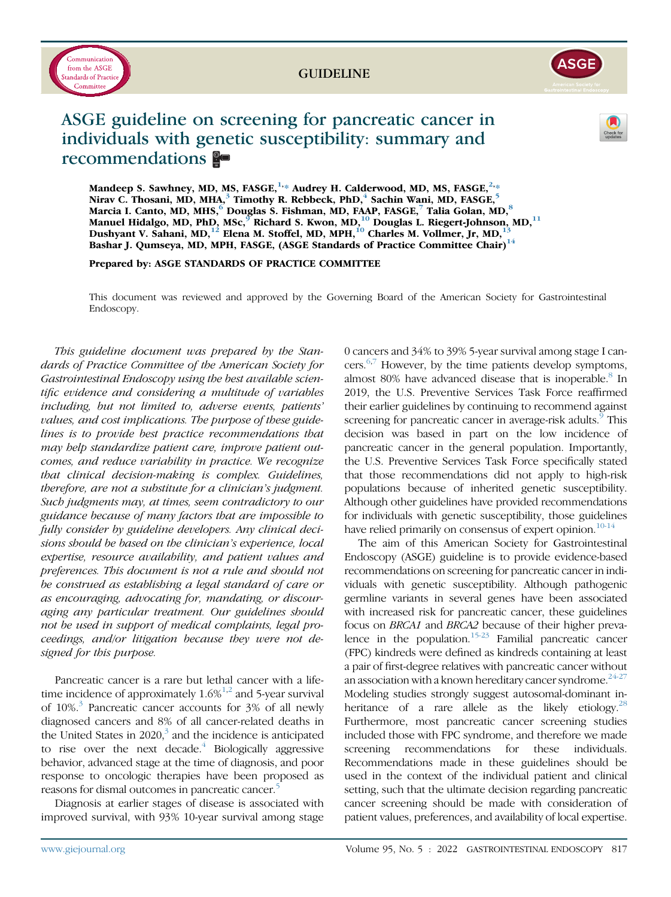

# GUIDELINE



# ASGE guideline on screening for pancreatic cancer in individuals with genetic susceptibility: summary and recommendations



Mandeep S. Sawhney, MD, MS, FASGE,  $^{1,*}$  Audrey H. Calderwood, MD, MS, FASGE,  $^{2,*}$ Nirav C. Thosani, MD, MHA,<sup>3</sup> Timothy R. Rebbeck, PhD,<sup>4</sup> Sachin Wani, MD, FASGE,<sup>5</sup> Marcia I. Canto, MD, MHS,<sup>6</sup> Douglas S. Fishman, MD, FAAP, FASGE,<sup>7</sup> Talia Golan, MD,<sup>8</sup> Manuel Hidalgo, MD, PhD, MSc,  $^{\circ}$  Richard S. Kwon, MD,  $^{10}$  Douglas L. Riegert-Johnson, MD,  $^{11}$ Dushyant V. Sahani, MD,  $^{12}$  Elena M. Stoffel, MD, MPH,  $^{10}$  Charles M. Vollmer, Jr, MD,  $^{13}$ Bashar J. Qumseya, MD, MPH, FASGE, (ASGE Standards of Practice Committee Chair)<sup>14</sup>

Prepared by: ASGE STANDARDS OF PRACTICE COMMITTEE

This document was reviewed and approved by the Governing Board of the American Society for Gastrointestinal Endoscopy.

This guideline document was prepared by the Standards of Practice Committee of the American Society for Gastrointestinal Endoscopy using the best available scientific evidence and considering a multitude of variables including, but not limited to, adverse events, patients' values, and cost implications. The purpose of these guidelines is to provide best practice recommendations that may help standardize patient care, improve patient outcomes, and reduce variability in practice. We recognize that clinical decision-making is complex. Guidelines, therefore, are not a substitute for a clinician's judgment. Such judgments may, at times, seem contradictory to our guidance because of many factors that are impossible to fully consider by guideline developers. Any clinical decisions should be based on the clinician's experience, local expertise, resource availability, and patient values and preferences. This document is not a rule and should not be construed as establishing a legal standard of care or as encouraging, advocating for, mandating, or discouraging any particular treatment. Our guidelines should not be used in support of medical complaints, legal proceedings, and/or litigation because they were not designed for this purpose.

Pancreatic cancer is a rare but lethal cancer with a lifetime incidence of approximately  $1.6\%^{1,2}$  $1.6\%^{1,2}$  $1.6\%^{1,2}$  $1.6\%^{1,2}$  and 5-year survival of  $10\%$ <sup>[3](#page-7-2)</sup> Pancreatic cancer accounts for 3% of all newly diagnosed cancers and 8% of all cancer-related deaths in the United States in  $2020$ ,<sup>3</sup> and the incidence is anticipated to rise over the next decade. $4$  Biologically aggressive behavior, advanced stage at the time of diagnosis, and poor response to oncologic therapies have been proposed as reasons for dismal outcomes in pancreatic cancer.<sup>5</sup>

Diagnosis at earlier stages of disease is associated with improved survival, with 93% 10-year survival among stage 0 cancers and 34% to 39% 5-year survival among stage I cancers. $6,7$  $6,7$  However, by the time patients develop symptoms, almost [8](#page-7-7)0% have advanced disease that is inoperable.<sup>8</sup> In 2019, the U.S. Preventive Services Task Force reaffirmed their earlier guidelines by continuing to recommend against screening for pancreatic cancer in average-risk adults.<sup>[9](#page-7-8)</sup> This decision was based in part on the low incidence of pancreatic cancer in the general population. Importantly, the U.S. Preventive Services Task Force specifically stated that those recommendations did not apply to high-risk populations because of inherited genetic susceptibility. Although other guidelines have provided recommendations for individuals with genetic susceptibility, those guidelines have relied primarily on consensus of expert opinion.<sup>[10-14](#page-7-9)</sup>

The aim of this American Society for Gastrointestinal Endoscopy (ASGE) guideline is to provide evidence-based recommendations on screening for pancreatic cancer in individuals with genetic susceptibility. Although pathogenic germline variants in several genes have been associated with increased risk for pancreatic cancer, these guidelines focus on BRCA1 and BRCA2 because of their higher prevalence in the population.<sup>15-23</sup> Familial pancreatic cancer (FPC) kindreds were defined as kindreds containing at least a pair of first-degree relatives with pancreatic cancer without an association with a known hereditary cancer syndrome. $24-27$ Modeling studies strongly suggest autosomal-dominant in-heritance of a rare allele as the likely etiology.<sup>[28](#page-7-12)</sup> Furthermore, most pancreatic cancer screening studies included those with FPC syndrome, and therefore we made screening recommendations for these individuals. Recommendations made in these guidelines should be used in the context of the individual patient and clinical setting, such that the ultimate decision regarding pancreatic cancer screening should be made with consideration of patient values, preferences, and availability of local expertise.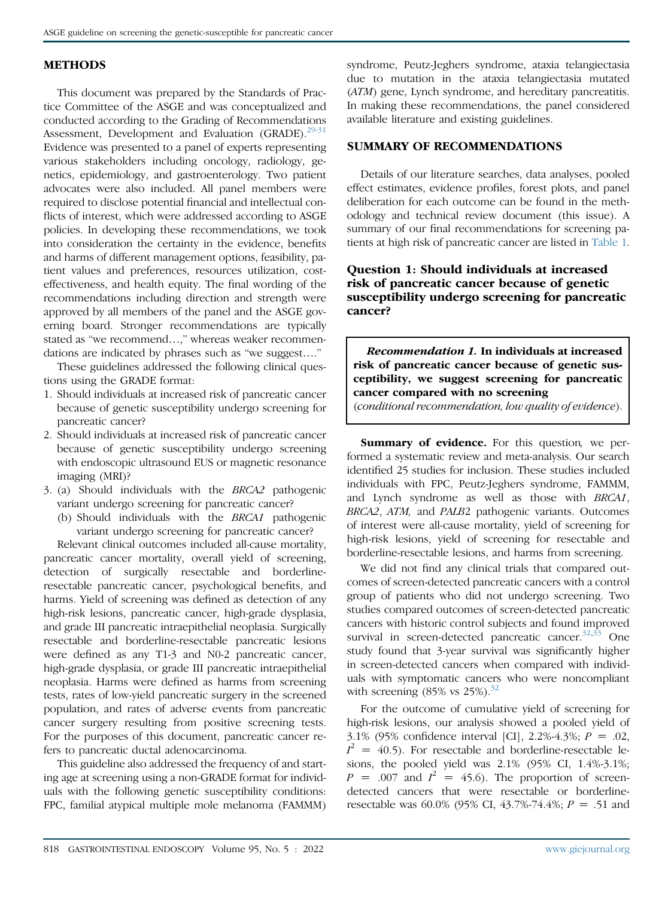# **METHODS**

This document was prepared by the Standards of Practice Committee of the ASGE and was conceptualized and conducted according to the Grading of Recommendations Assessment, Development and Evaluation (GRADE).<sup>[29-31](#page-7-13)</sup> Evidence was presented to a panel of experts representing various stakeholders including oncology, radiology, genetics, epidemiology, and gastroenterology. Two patient advocates were also included. All panel members were required to disclose potential financial and intellectual conflicts of interest, which were addressed according to ASGE policies. In developing these recommendations, we took into consideration the certainty in the evidence, benefits and harms of different management options, feasibility, patient values and preferences, resources utilization, costeffectiveness, and health equity. The final wording of the recommendations including direction and strength were approved by all members of the panel and the ASGE governing board. Stronger recommendations are typically stated as "we recommend...," whereas weaker recommendations are indicated by phrases such as "we suggest...."

These guidelines addressed the following clinical questions using the GRADE format:

- 1. Should individuals at increased risk of pancreatic cancer because of genetic susceptibility undergo screening for pancreatic cancer?
- 2. Should individuals at increased risk of pancreatic cancer because of genetic susceptibility undergo screening with endoscopic ultrasound EUS or magnetic resonance imaging (MRI)?
- 3. (a) Should individuals with the BRCA2 pathogenic variant undergo screening for pancreatic cancer?
	- (b) Should individuals with the BRCA1 pathogenic variant undergo screening for pancreatic cancer?

Relevant clinical outcomes included all-cause mortality, pancreatic cancer mortality, overall yield of screening, detection of surgically resectable and borderlineresectable pancreatic cancer, psychological benefits, and harms. Yield of screening was defined as detection of any high-risk lesions, pancreatic cancer, high-grade dysplasia, and grade III pancreatic intraepithelial neoplasia. Surgically resectable and borderline-resectable pancreatic lesions were defined as any T1-3 and N0-2 pancreatic cancer, high-grade dysplasia, or grade III pancreatic intraepithelial neoplasia. Harms were defined as harms from screening tests, rates of low-yield pancreatic surgery in the screened population, and rates of adverse events from pancreatic cancer surgery resulting from positive screening tests. For the purposes of this document, pancreatic cancer refers to pancreatic ductal adenocarcinoma.

This guideline also addressed the frequency of and starting age at screening using a non-GRADE format for individuals with the following genetic susceptibility conditions: FPC, familial atypical multiple mole melanoma (FAMMM) syndrome, Peutz-Jeghers syndrome, ataxia telangiectasia due to mutation in the ataxia telangiectasia mutated (ATM) gene, Lynch syndrome, and hereditary pancreatitis. In making these recommendations, the panel considered available literature and existing guidelines.

# SUMMARY OF RECOMMENDATIONS

Details of our literature searches, data analyses, pooled effect estimates, evidence profiles, forest plots, and panel deliberation for each outcome can be found in the methodology and technical review document (this issue). A summary of our final recommendations for screening patients at high risk of pancreatic cancer are listed in [Table 1.](#page-2-0)

# Question 1: Should individuals at increased risk of pancreatic cancer because of genetic susceptibility undergo screening for pancreatic cancer?

Recommendation 1. In individuals at increased risk of pancreatic cancer because of genetic susceptibility, we suggest screening for pancreatic cancer compared with no screening

(conditional recommendation, low quality of evidence).

Summary of evidence. For this question, we performed a systematic review and meta-analysis. Our search identified 25 studies for inclusion. These studies included individuals with FPC, Peutz-Jeghers syndrome, FAMMM, and Lynch syndrome as well as those with BRCA1, BRCA2, ATM, and PALB2 pathogenic variants. Outcomes of interest were all-cause mortality, yield of screening for high-risk lesions, yield of screening for resectable and borderline-resectable lesions, and harms from screening.

We did not find any clinical trials that compared outcomes of screen-detected pancreatic cancers with a control group of patients who did not undergo screening. Two studies compared outcomes of screen-detected pancreatic cancers with historic control subjects and found improved survival in screen-detected pancreatic cancer. $32,33$  $32,33$  One study found that 3-year survival was significantly higher in screen-detected cancers when compared with individuals with symptomatic cancers who were noncompliant with screening  $(85\% \text{ vs } 25\%)$ .<sup>[32](#page-7-14)</sup>

For the outcome of cumulative yield of screening for high-risk lesions, our analysis showed a pooled yield of 3.1% (95% confidence interval [CI], 2.2%-4.3%;  $P = .02$ ,  $I^2 = 40.5$ ). For resectable and borderline-resectable lesions, the pooled yield was 2.1% (95% CI, 1.4%-3.1%;  $P = .007$  and  $I^2 = 45.6$ ). The proportion of screendetected cancers that were resectable or borderlineresectable was 60.0% (95% CI, 43.7%-74.4%;  $P = .51$  and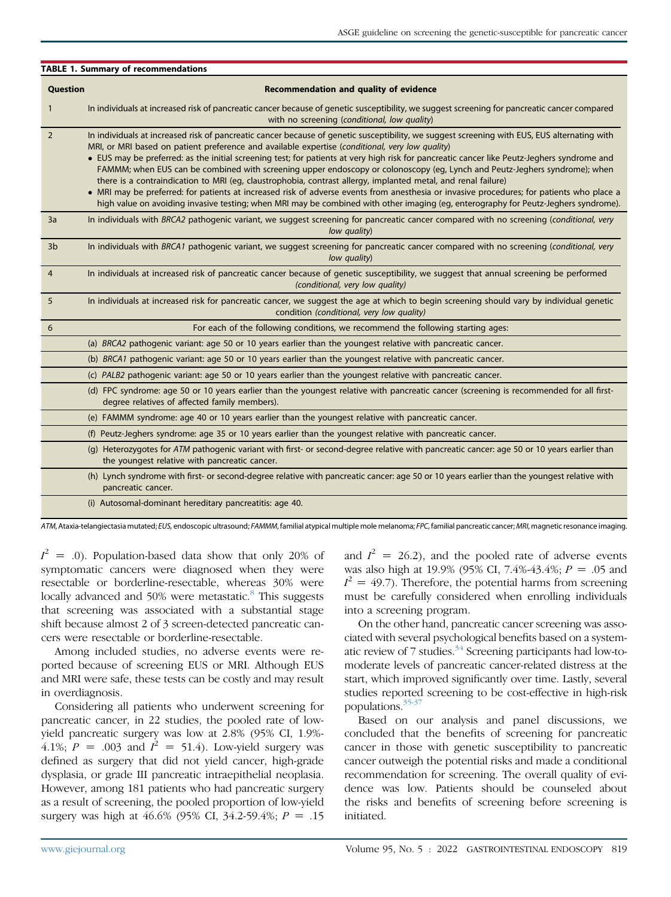<span id="page-2-0"></span>

|                 | <b>TABLE 1. Summary of recommendations</b>                                                                                                                                                                                                                                                                                                                                                                                                                                                                                                                                                                                                                                                                                                                                                                                                                                                                                        |
|-----------------|-----------------------------------------------------------------------------------------------------------------------------------------------------------------------------------------------------------------------------------------------------------------------------------------------------------------------------------------------------------------------------------------------------------------------------------------------------------------------------------------------------------------------------------------------------------------------------------------------------------------------------------------------------------------------------------------------------------------------------------------------------------------------------------------------------------------------------------------------------------------------------------------------------------------------------------|
| <b>Question</b> | Recommendation and quality of evidence                                                                                                                                                                                                                                                                                                                                                                                                                                                                                                                                                                                                                                                                                                                                                                                                                                                                                            |
| $\mathbf{1}$    | In individuals at increased risk of pancreatic cancer because of genetic susceptibility, we suggest screening for pancreatic cancer compared<br>with no screening (conditional, low quality)                                                                                                                                                                                                                                                                                                                                                                                                                                                                                                                                                                                                                                                                                                                                      |
| $\overline{2}$  | In individuals at increased risk of pancreatic cancer because of genetic susceptibility, we suggest screening with EUS, EUS alternating with<br>MRI, or MRI based on patient preference and available expertise (conditional, very low quality)<br>• EUS may be preferred: as the initial screening test; for patients at very high risk for pancreatic cancer like Peutz-Jeghers syndrome and<br>FAMMM; when EUS can be combined with screening upper endoscopy or colonoscopy (eg, Lynch and Peutz-Jeghers syndrome); when<br>there is a contraindication to MRI (eg, claustrophobia, contrast allergy, implanted metal, and renal failure)<br>• MRI may be preferred: for patients at increased risk of adverse events from anesthesia or invasive procedures; for patients who place a<br>high value on avoiding invasive testing; when MRI may be combined with other imaging (eg, enterography for Peutz-Jeghers syndrome). |
| 3a              | In individuals with BRCA2 pathogenic variant, we suggest screening for pancreatic cancer compared with no screening (conditional, very<br>low quality)                                                                                                                                                                                                                                                                                                                                                                                                                                                                                                                                                                                                                                                                                                                                                                            |
| 3 <sub>b</sub>  | In individuals with BRCA1 pathogenic variant, we suggest screening for pancreatic cancer compared with no screening (conditional, very<br>low quality)                                                                                                                                                                                                                                                                                                                                                                                                                                                                                                                                                                                                                                                                                                                                                                            |
| $\overline{4}$  | In individuals at increased risk of pancreatic cancer because of genetic susceptibility, we suggest that annual screening be performed<br>(conditional, very low quality)                                                                                                                                                                                                                                                                                                                                                                                                                                                                                                                                                                                                                                                                                                                                                         |
| 5               | In individuals at increased risk for pancreatic cancer, we suggest the age at which to begin screening should vary by individual genetic<br>condition (conditional, very low quality)                                                                                                                                                                                                                                                                                                                                                                                                                                                                                                                                                                                                                                                                                                                                             |
| 6               | For each of the following conditions, we recommend the following starting ages:                                                                                                                                                                                                                                                                                                                                                                                                                                                                                                                                                                                                                                                                                                                                                                                                                                                   |
|                 | (a) BRCA2 pathogenic variant: age 50 or 10 years earlier than the youngest relative with pancreatic cancer.                                                                                                                                                                                                                                                                                                                                                                                                                                                                                                                                                                                                                                                                                                                                                                                                                       |
|                 | (b) BRCA1 pathogenic variant: age 50 or 10 years earlier than the youngest relative with pancreatic cancer.                                                                                                                                                                                                                                                                                                                                                                                                                                                                                                                                                                                                                                                                                                                                                                                                                       |
|                 | (c) PALB2 pathogenic variant: age 50 or 10 years earlier than the youngest relative with pancreatic cancer.                                                                                                                                                                                                                                                                                                                                                                                                                                                                                                                                                                                                                                                                                                                                                                                                                       |
|                 | (d) FPC syndrome: age 50 or 10 years earlier than the youngest relative with pancreatic cancer (screening is recommended for all first-<br>degree relatives of affected family members).                                                                                                                                                                                                                                                                                                                                                                                                                                                                                                                                                                                                                                                                                                                                          |
|                 | (e) FAMMM syndrome: age 40 or 10 years earlier than the youngest relative with pancreatic cancer.                                                                                                                                                                                                                                                                                                                                                                                                                                                                                                                                                                                                                                                                                                                                                                                                                                 |
|                 | (f) Peutz-Jeghers syndrome: age 35 or 10 years earlier than the youngest relative with pancreatic cancer.                                                                                                                                                                                                                                                                                                                                                                                                                                                                                                                                                                                                                                                                                                                                                                                                                         |
|                 | (g) Heterozygotes for ATM pathogenic variant with first- or second-degree relative with pancreatic cancer: age 50 or 10 years earlier than<br>the youngest relative with pancreatic cancer.                                                                                                                                                                                                                                                                                                                                                                                                                                                                                                                                                                                                                                                                                                                                       |
|                 | (h) Lynch syndrome with first- or second-degree relative with pancreatic cancer: age 50 or 10 years earlier than the youngest relative with<br>pancreatic cancer.                                                                                                                                                                                                                                                                                                                                                                                                                                                                                                                                                                                                                                                                                                                                                                 |
|                 | (i) Autosomal-dominant hereditary pancreatitis: age 40.                                                                                                                                                                                                                                                                                                                                                                                                                                                                                                                                                                                                                                                                                                                                                                                                                                                                           |

ATM, Ataxia-telangiectasia mutated; EUS, endoscopic ultrasound; FAMMM, familial atypical multiple mole melanoma; FPC, familial pancreatic cancer; MRI, magnetic resonance imaging.

 $I^2 = .0$ ). Population-based data show that only 20% of symptomatic cancers were diagnosed when they were resectable or borderline-resectable, whereas 30% were locally advanced and 50% were metastatic.<sup>[8](#page-7-7)</sup> This suggests that screening was associated with a substantial stage shift because almost 2 of 3 screen-detected pancreatic cancers were resectable or borderline-resectable.

Among included studies, no adverse events were reported because of screening EUS or MRI. Although EUS and MRI were safe, these tests can be costly and may result in overdiagnosis.

Considering all patients who underwent screening for pancreatic cancer, in 22 studies, the pooled rate of lowyield pancreatic surgery was low at 2.8% (95% CI, 1.9%- 4.1%;  $P = .003$  and  $I^2 = 51.4$ ). Low-yield surgery was defined as surgery that did not yield cancer, high-grade dysplasia, or grade III pancreatic intraepithelial neoplasia. However, among 181 patients who had pancreatic surgery as a result of screening, the pooled proportion of low-yield surgery was high at 46.6% (95% CI, 34.2-59.4%;  $P = .15$ 

and  $I^2 = 26.2$ ), and the pooled rate of adverse events was also high at 19.9% (95% CI, 7.4%-43.4%;  $P = .05$  and  $I^2 = 49.7$ ). Therefore, the potential harms from screening must be carefully considered when enrolling individuals into a screening program.

On the other hand, pancreatic cancer screening was associated with several psychological benefits based on a systematic review of 7 studies. $34$  Screening participants had low-tomoderate levels of pancreatic cancer-related distress at the start, which improved significantly over time. Lastly, several studies reported screening to be cost-effective in high-risk populations[.35-37](#page-7-17)

Based on our analysis and panel discussions, we concluded that the benefits of screening for pancreatic cancer in those with genetic susceptibility to pancreatic cancer outweigh the potential risks and made a conditional recommendation for screening. The overall quality of evidence was low. Patients should be counseled about the risks and benefits of screening before screening is initiated.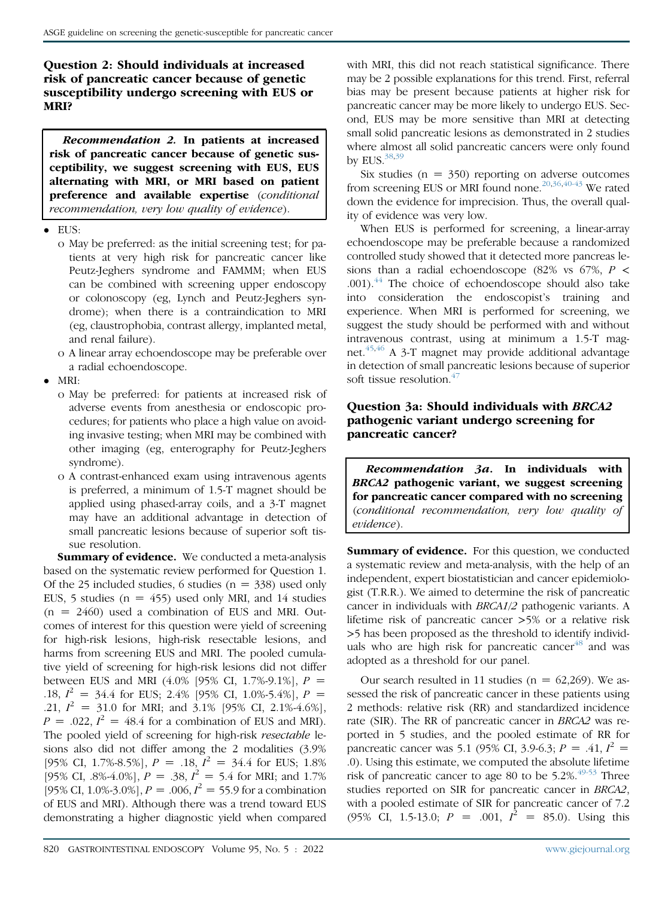Question 2: Should individuals at increased risk of pancreatic cancer because of genetic susceptibility undergo screening with EUS or MRI?

Recommendation 2. In patients at increased risk of pancreatic cancer because of genetic susceptibility, we suggest screening with EUS, EUS alternating with MRI, or MRI based on patient preference and available expertise (conditional recommendation, very low quality of evidence).

- EUS:
	- o May be preferred: as the initial screening test; for patients at very high risk for pancreatic cancer like Peutz-Jeghers syndrome and FAMMM; when EUS can be combined with screening upper endoscopy or colonoscopy (eg, Lynch and Peutz-Jeghers syndrome); when there is a contraindication to MRI (eg, claustrophobia, contrast allergy, implanted metal, and renal failure).
	- o A linear array echoendoscope may be preferable over a radial echoendoscope.
- MRI:
	- o May be preferred: for patients at increased risk of adverse events from anesthesia or endoscopic procedures; for patients who place a high value on avoiding invasive testing; when MRI may be combined with other imaging (eg, enterography for Peutz-Jeghers syndrome).
	- o A contrast-enhanced exam using intravenous agents is preferred, a minimum of 1.5-T magnet should be applied using phased-array coils, and a 3-T magnet may have an additional advantage in detection of small pancreatic lesions because of superior soft tissue resolution.

Summary of evidence. We conducted a meta-analysis based on the systematic review performed for Question 1. Of the 25 included studies, 6 studies ( $n = 338$ ) used only EUS, 5 studies ( $n = 455$ ) used only MRI, and 14 studies  $(n = 2460)$  used a combination of EUS and MRI. Outcomes of interest for this question were yield of screening for high-risk lesions, high-risk resectable lesions, and harms from screening EUS and MRI. The pooled cumulative yield of screening for high-risk lesions did not differ between EUS and MRI  $(4.0\%$  [95% CI, 1.7%-9.1%],  $P =$ .18,  $I^2 = 34.4$  for EUS; 2.4% [95% CI, 1.0%-5.4%],  $P =$ .21,  $I^2 = 31.0$  for MRI; and 3.1% [95% CI, 2.1%-4.6%],  $P = .022$ ,  $I^2 = 48.4$  for a combination of EUS and MRI). The pooled yield of screening for high-risk resectable lesions also did not differ among the 2 modalities (3.9% [95% CI, 1.7%-8.5%],  $P = .18$ ,  $I^2 = 34.4$  for EUS; 1.8% [95% CI, .8%-4.0%],  $P = .38$ ,  $I^2 = 5.4$  for MRI; and 1.7% [95% CI, 1.0%-3.0%],  $P = .006$ ,  $I^2 = 55.9$  for a combination of EUS and MRI). Although there was a trend toward EUS demonstrating a higher diagnostic yield when compared with MRI, this did not reach statistical significance. There may be 2 possible explanations for this trend. First, referral bias may be present because patients at higher risk for pancreatic cancer may be more likely to undergo EUS. Second, EUS may be more sensitive than MRI at detecting small solid pancreatic lesions as demonstrated in 2 studies where almost all solid pancreatic cancers were only found by EUS. $38,39$  $38,39$ 

Six studies  $(n = 350)$  reporting on adverse outcomes from screening EUS or MRI found none.<sup>[20](#page-7-18),[36](#page-7-19)[,40-43](#page-8-2)</sup> We rated down the evidence for imprecision. Thus, the overall quality of evidence was very low.

When EUS is performed for screening, a linear-array echoendoscope may be preferable because a randomized controlled study showed that it detected more pancreas lesions than a radial echoendoscope (82% vs 67%,  $P$  <  $.001$ ).<sup>[44](#page-8-3)</sup> The choice of echoendoscope should also take into consideration the endoscopist's training and experience. When MRI is performed for screening, we suggest the study should be performed with and without intravenous contrast, using at minimum a 1.5-T mag-net.<sup>[45](#page-8-4),[46](#page-8-5)</sup> A 3-T magnet may provide additional advantage in detection of small pancreatic lesions because of superior soft tissue resolution.<sup>[47](#page-8-6)</sup>

# Question 3a: Should individuals with BRCA2 pathogenic variant undergo screening for pancreatic cancer?

Recommendation 3a. In individuals with BRCA2 pathogenic variant, we suggest screening for pancreatic cancer compared with no screening (conditional recommendation, very low quality of evidence).

Summary of evidence. For this question, we conducted a systematic review and meta-analysis, with the help of an independent, expert biostatistician and cancer epidemiologist (T.R.R.). We aimed to determine the risk of pancreatic cancer in individuals with BRCA1/2 pathogenic variants. A lifetime risk of pancreatic cancer >5% or a relative risk >5 has been proposed as the threshold to identify individuals who are high risk for pancreatic cancer $48$  and was adopted as a threshold for our panel.

Our search resulted in 11 studies ( $n = 62,269$ ). We assessed the risk of pancreatic cancer in these patients using 2 methods: relative risk (RR) and standardized incidence rate (SIR). The RR of pancreatic cancer in BRCA2 was reported in 5 studies, and the pooled estimate of RR for pancreatic cancer was 5.1 (95% CI, 3.9-6.3;  $P = .41$ ,  $I^2 =$ .0). Using this estimate, we computed the absolute lifetime risk of pancreatic cancer to age 80 to be  $5.2\%$ .<sup>[49-53](#page-8-8)</sup> Three studies reported on SIR for pancreatic cancer in BRCA2, with a pooled estimate of SIR for pancreatic cancer of 7.2 (95% CI, 1.5-13.0;  $P = .001$ ,  $I^2 = 85.0$ ). Using this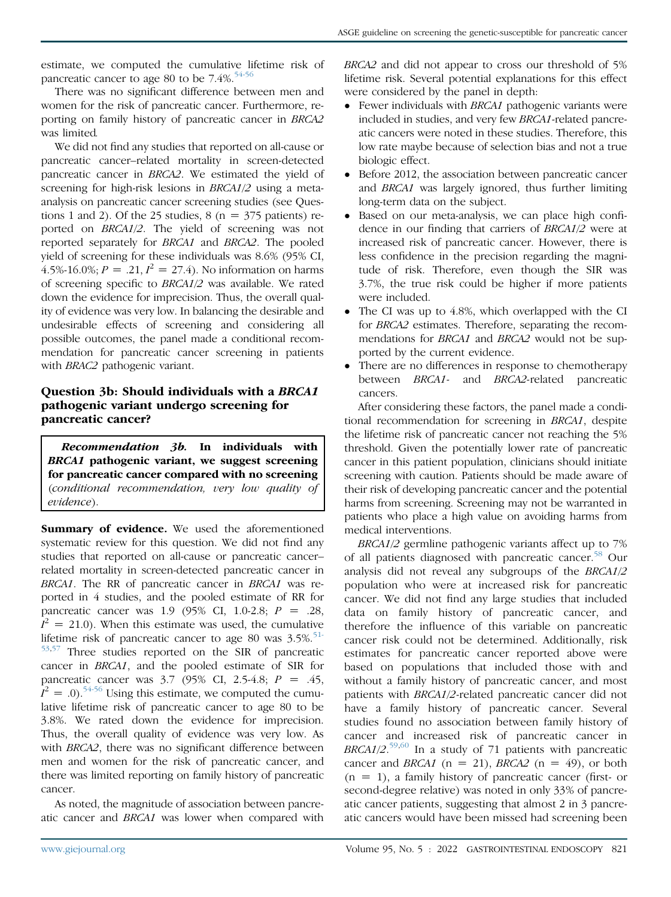estimate, we computed the cumulative lifetime risk of pancreatic cancer to age 80 to be  $7.4\%$ <sup>[54-56](#page-8-9)</sup>

There was no significant difference between men and women for the risk of pancreatic cancer. Furthermore, reporting on family history of pancreatic cancer in BRCA2 was limited.

We did not find any studies that reported on all-cause or pancreatic cancer–related mortality in screen-detected pancreatic cancer in BRCA2. We estimated the yield of screening for high-risk lesions in BRCA1/2 using a metaanalysis on pancreatic cancer screening studies (see Questions 1 and 2). Of the 25 studies, 8 ( $n = 375$  patients) reported on BRCA1/2. The yield of screening was not reported separately for BRCA1 and BRCA2. The pooled yield of screening for these individuals was 8.6% (95% CI, 4.5%-16.0%;  $P = .21$ ,  $I^2 = 27.4$ ). No information on harms of screening specific to BRCA1/2 was available. We rated down the evidence for imprecision. Thus, the overall quality of evidence was very low. In balancing the desirable and undesirable effects of screening and considering all possible outcomes, the panel made a conditional recommendation for pancreatic cancer screening in patients with BRAC2 pathogenic variant.

# Question 3b: Should individuals with a BRCA1 pathogenic variant undergo screening for pancreatic cancer?

Recommendation 3b. In individuals with BRCA1 pathogenic variant, we suggest screening for pancreatic cancer compared with no screening (conditional recommendation, very low quality of evidence).

Summary of evidence. We used the aforementioned systematic review for this question. We did not find any studies that reported on all-cause or pancreatic cancer– related mortality in screen-detected pancreatic cancer in BRCA1. The RR of pancreatic cancer in BRCA1 was reported in 4 studies, and the pooled estimate of RR for pancreatic cancer was 1.9 (95% CI, 1.0-2.8;  $P = .28$ ,  $I^2 = 21.0$ ). When this estimate was used, the cumulative lifetime risk of pancreatic cancer to age 80 was  $3.5\%$ <sup>[51-](#page-8-10)</sup> [53](#page-8-10)[,57](#page-8-11) Three studies reported on the SIR of pancreatic cancer in BRCA1, and the pooled estimate of SIR for pancreatic cancer was  $3.7$  (95% CI, 2.5-4.8;  $P = .45$ ,  $\hat{I}^2 = 0.0$ .<sup>[54-56](#page-8-9)</sup> Using this estimate, we computed the cumulative lifetime risk of pancreatic cancer to age 80 to be 3.8%. We rated down the evidence for imprecision. Thus, the overall quality of evidence was very low. As with *BRCA2*, there was no significant difference between men and women for the risk of pancreatic cancer, and there was limited reporting on family history of pancreatic cancer.

As noted, the magnitude of association between pancreatic cancer and BRCA1 was lower when compared with BRCA2 and did not appear to cross our threshold of 5% lifetime risk. Several potential explanations for this effect were considered by the panel in depth:

- Fewer individuals with *BRCA1* pathogenic variants were included in studies, and very few BRCA1-related pancreatic cancers were noted in these studies. Therefore, this low rate maybe because of selection bias and not a true biologic effect.
- Before 2012, the association between pancreatic cancer and BRCA1 was largely ignored, thus further limiting long-term data on the subject.
- Based on our meta-analysis, we can place high confidence in our finding that carriers of BRCA1/2 were at increased risk of pancreatic cancer. However, there is less confidence in the precision regarding the magnitude of risk. Therefore, even though the SIR was 3.7%, the true risk could be higher if more patients were included.
- The CI was up to 4.8%, which overlapped with the CI for BRCA2 estimates. Therefore, separating the recommendations for *BRCA1* and *BRCA2* would not be supported by the current evidence.
- There are no differences in response to chemotherapy between BRCA1- and BRCA2-related pancreatic cancers.

After considering these factors, the panel made a conditional recommendation for screening in BRCA1, despite the lifetime risk of pancreatic cancer not reaching the 5% threshold. Given the potentially lower rate of pancreatic cancer in this patient population, clinicians should initiate screening with caution. Patients should be made aware of their risk of developing pancreatic cancer and the potential harms from screening. Screening may not be warranted in patients who place a high value on avoiding harms from medical interventions.

BRCA1/2 germline pathogenic variants affect up to 7% of all patients diagnosed with pancreatic cancer.<sup>[58](#page-8-12)</sup> Our analysis did not reveal any subgroups of the BRCA1/2 population who were at increased risk for pancreatic cancer. We did not find any large studies that included data on family history of pancreatic cancer, and therefore the influence of this variable on pancreatic cancer risk could not be determined. Additionally, risk estimates for pancreatic cancer reported above were based on populations that included those with and without a family history of pancreatic cancer, and most patients with BRCA1/2-related pancreatic cancer did not have a family history of pancreatic cancer. Several studies found no association between family history of cancer and increased risk of pancreatic cancer in BRCA1/2.<sup>[59](#page-8-13),[60](#page-8-14)</sup> In a study of 71 patients with pancreatic cancer and *BRCA1* ( $n = 21$ ), *BRCA2* ( $n = 49$ ), or both  $(n = 1)$ , a family history of pancreatic cancer (first- or second-degree relative) was noted in only 33% of pancreatic cancer patients, suggesting that almost 2 in 3 pancreatic cancers would have been missed had screening been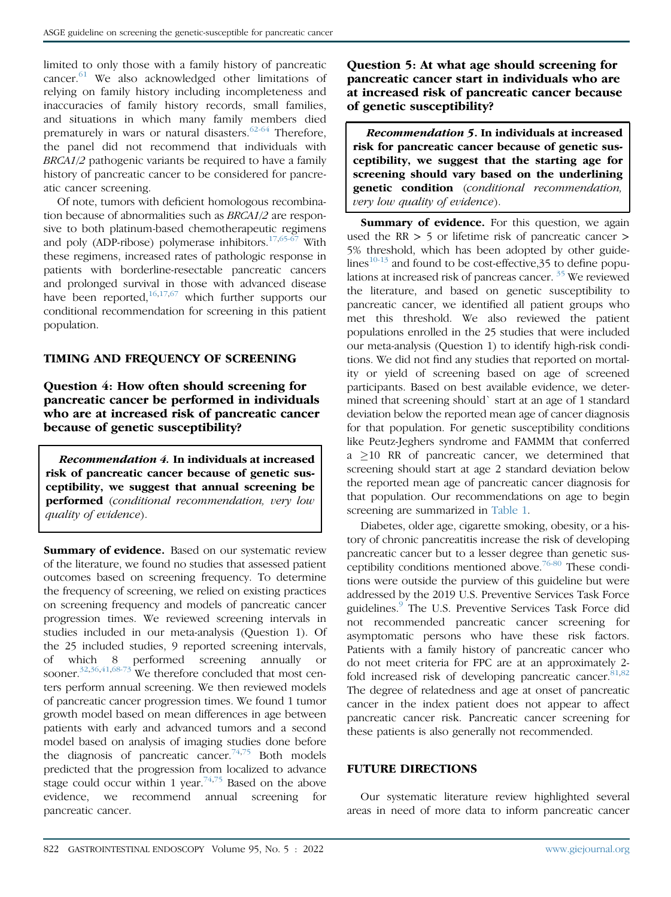limited to only those with a family history of pancreatic cancer. $61$  We also acknowledged other limitations of relying on family history including incompleteness and inaccuracies of family history records, small families, and situations in which many family members died prematurely in wars or natural disasters. $62-64$  Therefore, the panel did not recommend that individuals with BRCA1/2 pathogenic variants be required to have a family history of pancreatic cancer to be considered for pancreatic cancer screening.

Of note, tumors with deficient homologous recombination because of abnormalities such as BRCA1/2 are responsive to both platinum-based chemotherapeutic regimens and poly (ADP-ribose) polymerase inhibitors. $17,65-67$  $17,65-67$  With these regimens, increased rates of pathologic response in patients with borderline-resectable pancreatic cancers and prolonged survival in those with advanced disease have been reported, $16,17,67$  $16,17,67$  $16,17,67$  which further supports our conditional recommendation for screening in this patient population.

## TIMING AND FREQUENCY OF SCREENING

Question 4: How often should screening for pancreatic cancer be performed in individuals who are at increased risk of pancreatic cancer because of genetic susceptibility?

Recommendation 4. In individuals at increased risk of pancreatic cancer because of genetic susceptibility, we suggest that annual screening be performed (conditional recommendation, very low quality of evidence).

Summary of evidence. Based on our systematic review of the literature, we found no studies that assessed patient outcomes based on screening frequency. To determine the frequency of screening, we relied on existing practices on screening frequency and models of pancreatic cancer progression times. We reviewed screening intervals in studies included in our meta-analysis (Question 1). Of the 25 included studies, 9 reported screening intervals, of which 8 performed screening annually or sooner.<sup>[32,](#page-7-14)[36](#page-7-19)[,41,](#page-8-19)[68-73](#page-8-20)</sup> We therefore concluded that most centers perform annual screening. We then reviewed models of pancreatic cancer progression times. We found 1 tumor growth model based on mean differences in age between patients with early and advanced tumors and a second model based on analysis of imaging studies done before the diagnosis of pancreatic cancer.<sup>[74](#page-8-21)[,75](#page-8-22)</sup> Both models predicted that the progression from localized to advance stage could occur within 1 year.<sup>[74,](#page-8-21)[75](#page-8-22)</sup> Based on the above evidence, we recommend annual screening for pancreatic cancer.

Question 5: At what age should screening for pancreatic cancer start in individuals who are at increased risk of pancreatic cancer because of genetic susceptibility?

Recommendation 5. In individuals at increased risk for pancreatic cancer because of genetic susceptibility, we suggest that the starting age for screening should vary based on the underlining genetic condition (conditional recommendation, very low quality of evidence).

Summary of evidence. For this question, we again used the RR > 5 or lifetime risk of pancreatic cancer > 5% threshold, which has been adopted by other guidelines $10-13$  and found to be cost-effective, 35 to define popu-lations at increased risk of pancreas cancer.<sup>[35](#page-7-17)</sup> We reviewed the literature, and based on genetic susceptibility to pancreatic cancer, we identified all patient groups who met this threshold. We also reviewed the patient populations enrolled in the 25 studies that were included our meta-analysis (Question 1) to identify high-risk conditions. We did not find any studies that reported on mortality or yield of screening based on age of screened participants. Based on best available evidence, we determined that screening should` start at an age of 1 standard deviation below the reported mean age of cancer diagnosis for that population. For genetic susceptibility conditions like Peutz-Jeghers syndrome and FAMMM that conferred  $a \ge 10$  RR of pancreatic cancer, we determined that screening should start at age 2 standard deviation below the reported mean age of pancreatic cancer diagnosis for that population. Our recommendations on age to begin screening are summarized in [Table 1.](#page-2-0)

Diabetes, older age, cigarette smoking, obesity, or a history of chronic pancreatitis increase the risk of developing pancreatic cancer but to a lesser degree than genetic sus-ceptibility conditions mentioned above.<sup>[76-80](#page-8-23)</sup> These conditions were outside the purview of this guideline but were addressed by the 2019 U.S. Preventive Services Task Force guidelines.[9](#page-7-8) The U.S. Preventive Services Task Force did not recommended pancreatic cancer screening for asymptomatic persons who have these risk factors. Patients with a family history of pancreatic cancer who do not meet criteria for FPC are at an approximately 2- fold increased risk of developing pancreatic cancer.<sup>[81,](#page-8-24)[82](#page-9-0)</sup> The degree of relatedness and age at onset of pancreatic cancer in the index patient does not appear to affect pancreatic cancer risk. Pancreatic cancer screening for these patients is also generally not recommended.

#### FUTURE DIRECTIONS

Our systematic literature review highlighted several areas in need of more data to inform pancreatic cancer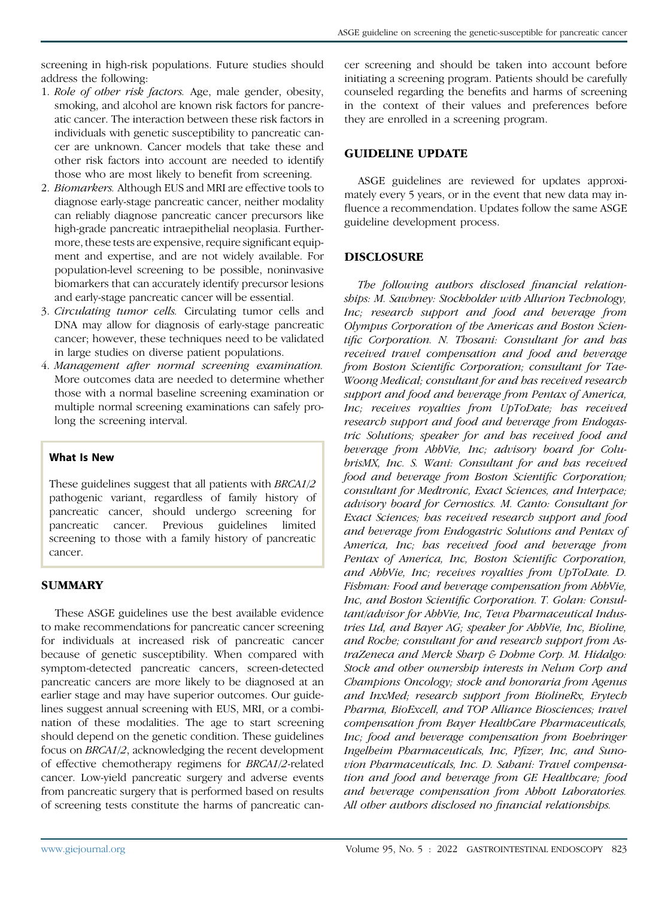screening in high-risk populations. Future studies should address the following:

- 1. Role of other risk factors. Age, male gender, obesity, smoking, and alcohol are known risk factors for pancreatic cancer. The interaction between these risk factors in individuals with genetic susceptibility to pancreatic cancer are unknown. Cancer models that take these and other risk factors into account are needed to identify those who are most likely to benefit from screening.
- 2. Biomarkers. Although EUS and MRI are effective tools to diagnose early-stage pancreatic cancer, neither modality can reliably diagnose pancreatic cancer precursors like high-grade pancreatic intraepithelial neoplasia. Furthermore, these tests are expensive, require significant equipment and expertise, and are not widely available. For population-level screening to be possible, noninvasive biomarkers that can accurately identify precursor lesions and early-stage pancreatic cancer will be essential.
- 3. Circulating tumor cells. Circulating tumor cells and DNA may allow for diagnosis of early-stage pancreatic cancer; however, these techniques need to be validated in large studies on diverse patient populations.
- 4. Management after normal screening examination. More outcomes data are needed to determine whether those with a normal baseline screening examination or multiple normal screening examinations can safely prolong the screening interval.

## What Is New

These guidelines suggest that all patients with BRCA1/2 pathogenic variant, regardless of family history of pancreatic cancer, should undergo screening for pancreatic cancer. Previous guidelines limited screening to those with a family history of pancreatic cancer.

# **SUMMARY**

These ASGE guidelines use the best available evidence to make recommendations for pancreatic cancer screening for individuals at increased risk of pancreatic cancer because of genetic susceptibility. When compared with symptom-detected pancreatic cancers, screen-detected pancreatic cancers are more likely to be diagnosed at an earlier stage and may have superior outcomes. Our guidelines suggest annual screening with EUS, MRI, or a combination of these modalities. The age to start screening should depend on the genetic condition. These guidelines focus on BRCA1/2, acknowledging the recent development of effective chemotherapy regimens for BRCA1/2-related cancer. Low-yield pancreatic surgery and adverse events from pancreatic surgery that is performed based on results of screening tests constitute the harms of pancreatic cancer screening and should be taken into account before initiating a screening program. Patients should be carefully counseled regarding the benefits and harms of screening in the context of their values and preferences before they are enrolled in a screening program.

## GUIDELINE UPDATE

ASGE guidelines are reviewed for updates approximately every 5 years, or in the event that new data may influence a recommendation. Updates follow the same ASGE guideline development process.

#### DISCLOSURE

The following authors disclosed financial relationships: M. Sawhney: Stockholder with Allurion Technology, Inc; research support and food and beverage from Olympus Corporation of the Americas and Boston Scientific Corporation. N. Thosani: Consultant for and has received travel compensation and food and beverage from Boston Scientific Corporation; consultant for Tae-Woong Medical; consultant for and has received research support and food and beverage from Pentax of America, Inc; receives royalties from UpToDate; has received research support and food and beverage from Endogastric Solutions; speaker for and has received food and beverage from AbbVie, Inc; advisory board for ColubrisMX, Inc. S. Wani: Consultant for and has received food and beverage from Boston Scientific Corporation; consultant for Medtronic, Exact Sciences, and Interpace; advisory board for Cernostics. M. Canto: Consultant for Exact Sciences; has received research support and food and beverage from Endogastric Solutions and Pentax of America, Inc; has received food and beverage from Pentax of America, Inc, Boston Scientific Corporation, and AbbVie, Inc; receives royalties from UpToDate. D. Fishman: Food and beverage compensation from AbbVie, Inc, and Boston Scientific Corporation. T. Golan: Consultant/advisor for AbbVie, Inc, Teva Pharmaceutical Industries Ltd, and Bayer AG; speaker for AbbVie, Inc, Bioline, and Roche; consultant for and research support from AstraZeneca and Merck Sharp & Dohme Corp. M. Hidalgo: Stock and other ownership interests in Nelum Corp and Champions Oncology; stock and honoraria from Agenus and InxMed; research support from BiolineRx, Erytech Pharma, BioExcell, and TOP Alliance Biosciences; travel compensation from Bayer HealthCare Pharmaceuticals, Inc; food and beverage compensation from Boehringer Ingelheim Pharmaceuticals, Inc, Pfizer, Inc, and Sunovion Pharmaceuticals, Inc. D. Sahani: Travel compensation and food and beverage from GE Healthcare; food and beverage compensation from Abbott Laboratories. All other authors disclosed no financial relationships.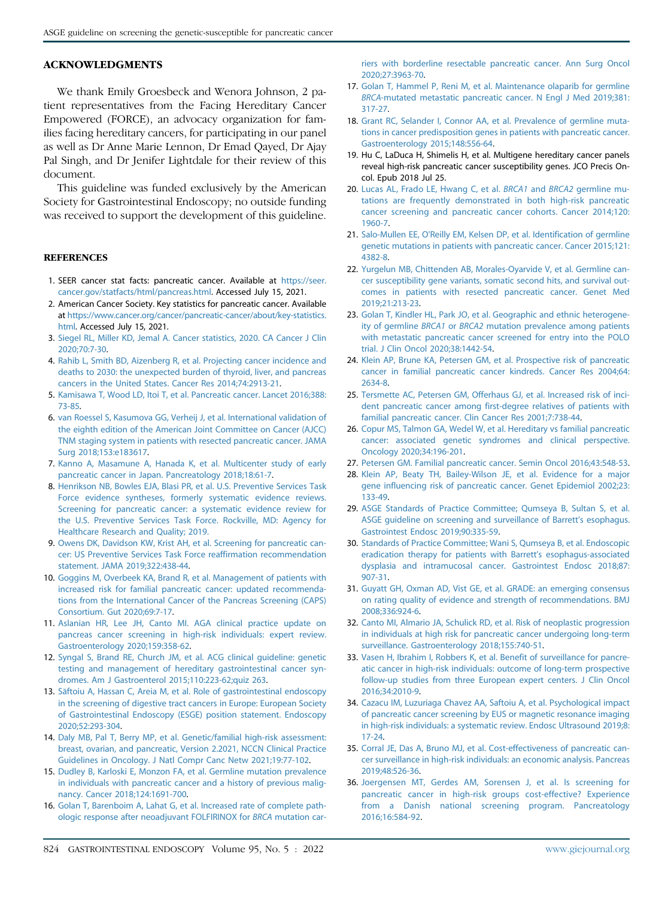#### ACKNOWLEDGMENTS

We thank Emily Groesbeck and Wenora Johnson, 2 patient representatives from the Facing Hereditary Cancer Empowered (FORCE), an advocacy organization for families facing hereditary cancers, for participating in our panel as well as Dr Anne Marie Lennon, Dr Emad Qayed, Dr Ajay Pal Singh, and Dr Jenifer Lightdale for their review of this document.

This guideline was funded exclusively by the American Society for Gastrointestinal Endoscopy; no outside funding was received to support the development of this guideline.

#### **REFERENCES**

- <span id="page-7-0"></span>1. SEER cancer stat facts: pancreatic cancer. Available at [https://seer.](https://seer.cancer.gov/statfacts/html/pancreas.html) [cancer.gov/statfacts/html/pancreas.html](https://seer.cancer.gov/statfacts/html/pancreas.html). Accessed July 15, 2021.
- <span id="page-7-1"></span>2. American Cancer Society. Key statistics for pancreatic cancer. Available at [https://www.cancer.org/cancer/pancreatic-cancer/about/key-statistics.](https://www.cancer.org/cancer/pancreatic-cancer/about/key-statistics.html) [html.](https://www.cancer.org/cancer/pancreatic-cancer/about/key-statistics.html) Accessed July 15, 2021.
- <span id="page-7-2"></span>3. [Siegel RL, Miller KD, Jemal A. Cancer statistics, 2020. CA Cancer J Clin](http://refhub.elsevier.com/S0016-5107(21)01871-X/sref3) [2020;70:7-30.](http://refhub.elsevier.com/S0016-5107(21)01871-X/sref3)
- <span id="page-7-3"></span>4. [Rahib L, Smith BD, Aizenberg R, et al. Projecting cancer incidence and](http://refhub.elsevier.com/S0016-5107(21)01871-X/sref4) [deaths to 2030: the unexpected burden of thyroid, liver, and pancreas](http://refhub.elsevier.com/S0016-5107(21)01871-X/sref4) [cancers in the United States. Cancer Res 2014;74:2913-21.](http://refhub.elsevier.com/S0016-5107(21)01871-X/sref4)
- <span id="page-7-4"></span>5. [Kamisawa T, Wood LD, Itoi T, et al. Pancreatic cancer. Lancet 2016;388:](http://refhub.elsevier.com/S0016-5107(21)01871-X/sref5) [73-85](http://refhub.elsevier.com/S0016-5107(21)01871-X/sref5).
- <span id="page-7-5"></span>6. [van Roessel S, Kasumova GG, Verheij J, et al. International validation of](http://refhub.elsevier.com/S0016-5107(21)01871-X/sref6) [the eighth edition of the American Joint Committee on Cancer \(AJCC\)](http://refhub.elsevier.com/S0016-5107(21)01871-X/sref6) [TNM staging system in patients with resected pancreatic cancer. JAMA](http://refhub.elsevier.com/S0016-5107(21)01871-X/sref6) [Surg 2018;153:e183617](http://refhub.elsevier.com/S0016-5107(21)01871-X/sref6).
- <span id="page-7-6"></span>7. [Kanno A, Masamune A, Hanada K, et al. Multicenter study of early](http://refhub.elsevier.com/S0016-5107(21)01871-X/sref7) [pancreatic cancer in Japan. Pancreatology 2018;18:61-7.](http://refhub.elsevier.com/S0016-5107(21)01871-X/sref7)
- <span id="page-7-7"></span>8. [Henrikson NB, Bowles EJA, Blasi PR, et al. U.S. Preventive Services Task](http://refhub.elsevier.com/S0016-5107(21)01871-X/sref8) [Force evidence syntheses, formerly systematic evidence reviews.](http://refhub.elsevier.com/S0016-5107(21)01871-X/sref8) [Screening for pancreatic cancer: a systematic evidence review for](http://refhub.elsevier.com/S0016-5107(21)01871-X/sref8) [the U.S. Preventive Services Task Force. Rockville, MD: Agency for](http://refhub.elsevier.com/S0016-5107(21)01871-X/sref8) [Healthcare Research and Quality; 2019.](http://refhub.elsevier.com/S0016-5107(21)01871-X/sref8)
- <span id="page-7-8"></span>9. [Owens DK, Davidson KW, Krist AH, et al. Screening for pancreatic can](http://refhub.elsevier.com/S0016-5107(21)01871-X/sref9)[cer: US Preventive Services Task Force reaffirmation recommendation](http://refhub.elsevier.com/S0016-5107(21)01871-X/sref9) [statement. JAMA 2019;322:438-44](http://refhub.elsevier.com/S0016-5107(21)01871-X/sref9).
- <span id="page-7-9"></span>10. [Goggins M, Overbeek KA, Brand R, et al. Management of patients with](http://refhub.elsevier.com/S0016-5107(21)01871-X/sref10) [increased risk for familial pancreatic cancer: updated recommenda](http://refhub.elsevier.com/S0016-5107(21)01871-X/sref10)[tions from the International Cancer of the Pancreas Screening \(CAPS\)](http://refhub.elsevier.com/S0016-5107(21)01871-X/sref10) [Consortium. Gut 2020;69:7-17](http://refhub.elsevier.com/S0016-5107(21)01871-X/sref10).
- 11. [Aslanian HR, Lee JH, Canto MI. AGA clinical practice update on](http://refhub.elsevier.com/S0016-5107(21)01871-X/sref11) [pancreas cancer screening in high-risk individuals: expert review.](http://refhub.elsevier.com/S0016-5107(21)01871-X/sref11) [Gastroenterology 2020;159:358-62](http://refhub.elsevier.com/S0016-5107(21)01871-X/sref11).
- 12. [Syngal S, Brand RE, Church JM, et al. ACG clinical guideline: genetic](http://refhub.elsevier.com/S0016-5107(21)01871-X/sref12) [testing and management of hereditary gastrointestinal cancer syn](http://refhub.elsevier.com/S0016-5107(21)01871-X/sref12)[dromes. Am J Gastroenterol 2015;110:223-62;quiz 263.](http://refhub.elsevier.com/S0016-5107(21)01871-X/sref12)
- 13. [S](http://refhub.elsevier.com/S0016-5107(21)01871-X/sref13)ăftoiu A, Hassan C, Areia M, et al. Role of gastrointestinal endoscopy [in the screening of digestive tract cancers in Europe: European Society](http://refhub.elsevier.com/S0016-5107(21)01871-X/sref13) [of Gastrointestinal Endoscopy \(ESGE\) position statement. Endoscopy](http://refhub.elsevier.com/S0016-5107(21)01871-X/sref13) [2020;52:293-304.](http://refhub.elsevier.com/S0016-5107(21)01871-X/sref13)
- 14. [Daly MB, Pal T, Berry MP, et al. Genetic/familial high-risk assessment:](http://refhub.elsevier.com/S0016-5107(21)01871-X/sref14) [breast, ovarian, and pancreatic, Version 2.2021, NCCN Clinical Practice](http://refhub.elsevier.com/S0016-5107(21)01871-X/sref14) [Guidelines in Oncology. J Natl Compr Canc Netw 2021;19:77-102](http://refhub.elsevier.com/S0016-5107(21)01871-X/sref14).
- <span id="page-7-10"></span>15. [Dudley B, Karloski E, Monzon FA, et al. Germline mutation prevalence](http://refhub.elsevier.com/S0016-5107(21)01871-X/sref15) [in individuals with pancreatic cancer and a history of previous malig](http://refhub.elsevier.com/S0016-5107(21)01871-X/sref15)[nancy. Cancer 2018;124:1691-700.](http://refhub.elsevier.com/S0016-5107(21)01871-X/sref15)
- <span id="page-7-21"></span>16. [Golan T, Barenboim A, Lahat G, et al. Increased rate of complete path](http://refhub.elsevier.com/S0016-5107(21)01871-X/sref16)[ologic response after neoadjuvant FOLFIRINOX for](http://refhub.elsevier.com/S0016-5107(21)01871-X/sref16) BRCA mutation car-

[riers with borderline resectable pancreatic cancer. Ann Surg Oncol](http://refhub.elsevier.com/S0016-5107(21)01871-X/sref16) [2020;27:3963-70](http://refhub.elsevier.com/S0016-5107(21)01871-X/sref16).

- <span id="page-7-20"></span>17. [Golan T, Hammel P, Reni M, et al. Maintenance olaparib for germline](http://refhub.elsevier.com/S0016-5107(21)01871-X/sref17) BRCA[-mutated metastatic pancreatic cancer. N Engl J Med 2019;381:](http://refhub.elsevier.com/S0016-5107(21)01871-X/sref17) [317-27.](http://refhub.elsevier.com/S0016-5107(21)01871-X/sref17)
- 18. [Grant RC, Selander I, Connor AA, et al. Prevalence of germline muta](http://refhub.elsevier.com/S0016-5107(21)01871-X/sref18)[tions in cancer predisposition genes in patients with pancreatic cancer.](http://refhub.elsevier.com/S0016-5107(21)01871-X/sref18) [Gastroenterology 2015;148:556-64.](http://refhub.elsevier.com/S0016-5107(21)01871-X/sref18)
- 19. Hu C, LaDuca H, Shimelis H, et al. Multigene hereditary cancer panels reveal high-risk pancreatic cancer susceptibility genes. JCO Precis Oncol. Epub 2018 Jul 25.
- <span id="page-7-18"></span>20. [Lucas AL, Frado LE, Hwang C, et al.](http://refhub.elsevier.com/S0016-5107(21)01871-X/sref20) BRCA1 and BRCA2 germline mu[tations are frequently demonstrated in both high-risk pancreatic](http://refhub.elsevier.com/S0016-5107(21)01871-X/sref20) [cancer screening and pancreatic cancer cohorts. Cancer 2014;120:](http://refhub.elsevier.com/S0016-5107(21)01871-X/sref20) [1960-7](http://refhub.elsevier.com/S0016-5107(21)01871-X/sref20).
- 21. [Salo-Mullen EE, O'Reilly EM, Kelsen DP, et al. Identification of germline](http://refhub.elsevier.com/S0016-5107(21)01871-X/sref21) [genetic mutations in patients with pancreatic cancer. Cancer 2015;121:](http://refhub.elsevier.com/S0016-5107(21)01871-X/sref21) [4382-8.](http://refhub.elsevier.com/S0016-5107(21)01871-X/sref21)
- 22. [Yurgelun MB, Chittenden AB, Morales-Oyarvide V, et al. Germline can](http://refhub.elsevier.com/S0016-5107(21)01871-X/sref22)[cer susceptibility gene variants, somatic second hits, and survival out](http://refhub.elsevier.com/S0016-5107(21)01871-X/sref22)[comes in patients with resected pancreatic cancer. Genet Med](http://refhub.elsevier.com/S0016-5107(21)01871-X/sref22) [2019;21:213-23](http://refhub.elsevier.com/S0016-5107(21)01871-X/sref22).
- 23. [Golan T, Kindler HL, Park JO, et al. Geographic and ethnic heterogene](http://refhub.elsevier.com/S0016-5107(21)01871-X/sref58)ity of germline BRCA1 or BRCA2 [mutation prevalence among patients](http://refhub.elsevier.com/S0016-5107(21)01871-X/sref58) [with metastatic pancreatic cancer screened for entry into the POLO](http://refhub.elsevier.com/S0016-5107(21)01871-X/sref58) [trial. J Clin Oncol 2020;38:1442-54](http://refhub.elsevier.com/S0016-5107(21)01871-X/sref58).
- <span id="page-7-11"></span>24. [Klein AP, Brune KA, Petersen GM, et al. Prospective risk of pancreatic](http://refhub.elsevier.com/S0016-5107(21)01871-X/sref23) [cancer in familial pancreatic cancer kindreds. Cancer Res 2004;64:](http://refhub.elsevier.com/S0016-5107(21)01871-X/sref23) [2634-8.](http://refhub.elsevier.com/S0016-5107(21)01871-X/sref23)
- 25. [Tersmette AC, Petersen GM, Offerhaus GJ, et al. Increased risk of inci](http://refhub.elsevier.com/S0016-5107(21)01871-X/sref24)[dent pancreatic cancer among first-degree relatives of patients with](http://refhub.elsevier.com/S0016-5107(21)01871-X/sref24) [familial pancreatic cancer. Clin Cancer Res 2001;7:738-44.](http://refhub.elsevier.com/S0016-5107(21)01871-X/sref24)
- 26. [Copur MS, Talmon GA, Wedel W, et al. Hereditary vs familial pancreatic](http://refhub.elsevier.com/S0016-5107(21)01871-X/sref25) [cancer: associated genetic syndromes and clinical perspective.](http://refhub.elsevier.com/S0016-5107(21)01871-X/sref25) [Oncology 2020;34:196-201](http://refhub.elsevier.com/S0016-5107(21)01871-X/sref25).
- <span id="page-7-12"></span>27. [Petersen GM. Familial pancreatic cancer. Semin Oncol 2016;43:548-53.](http://refhub.elsevier.com/S0016-5107(21)01871-X/sref26)
- 28. [Klein AP, Beaty TH, Bailey-Wilson JE, et al. Evidence for a major](http://refhub.elsevier.com/S0016-5107(21)01871-X/sref28) [gene influencing risk of pancreatic cancer. Genet Epidemiol 2002;23:](http://refhub.elsevier.com/S0016-5107(21)01871-X/sref28) [133-49.](http://refhub.elsevier.com/S0016-5107(21)01871-X/sref28)
- <span id="page-7-13"></span>29. [ASGE Standards of Practice Committee; Qumseya B, Sultan S, et al.](http://refhub.elsevier.com/S0016-5107(21)01871-X/sref29) [ASGE guideline on screening and surveillance of Barrett](http://refhub.elsevier.com/S0016-5107(21)01871-X/sref29)'s esophagus. [Gastrointest Endosc 2019;90:335-59](http://refhub.elsevier.com/S0016-5107(21)01871-X/sref29).
- 30. [Standards of Practice Committee; Wani S, Qumseya B, et al. Endoscopic](http://refhub.elsevier.com/S0016-5107(21)01871-X/sref30) [eradication therapy for patients with Barrett](http://refhub.elsevier.com/S0016-5107(21)01871-X/sref30)'s esophagus-associated [dysplasia and intramucosal cancer. Gastrointest Endosc 2018;87:](http://refhub.elsevier.com/S0016-5107(21)01871-X/sref30) [907-31.](http://refhub.elsevier.com/S0016-5107(21)01871-X/sref30)
- 31. [Guyatt GH, Oxman AD, Vist GE, et al. GRADE: an emerging consensus](http://refhub.elsevier.com/S0016-5107(21)01871-X/sref31) [on rating quality of evidence and strength of recommendations. BMJ](http://refhub.elsevier.com/S0016-5107(21)01871-X/sref31) [2008;336:924-6](http://refhub.elsevier.com/S0016-5107(21)01871-X/sref31).
- <span id="page-7-14"></span>32. [Canto MI, Almario JA, Schulick RD, et al. Risk of neoplastic progression](http://refhub.elsevier.com/S0016-5107(21)01871-X/sref32) [in individuals at high risk for pancreatic cancer undergoing long-term](http://refhub.elsevier.com/S0016-5107(21)01871-X/sref32) [surveillance. Gastroenterology 2018;155:740-51.](http://refhub.elsevier.com/S0016-5107(21)01871-X/sref32)
- <span id="page-7-15"></span>33. [Vasen H, Ibrahim I, Robbers K, et al. Benefit of surveillance for pancre](http://refhub.elsevier.com/S0016-5107(21)01871-X/sref33)[atic cancer in high-risk individuals: outcome of long-term prospective](http://refhub.elsevier.com/S0016-5107(21)01871-X/sref33) [follow-up studies from three European expert centers. J Clin Oncol](http://refhub.elsevier.com/S0016-5107(21)01871-X/sref33) [2016;34:2010-9](http://refhub.elsevier.com/S0016-5107(21)01871-X/sref33).
- <span id="page-7-16"></span>34. [Cazacu IM, Luzuriaga Chavez AA, Saftoiu A, et al. Psychological impact](http://refhub.elsevier.com/S0016-5107(21)01871-X/sref34) [of pancreatic cancer screening by EUS or magnetic resonance imaging](http://refhub.elsevier.com/S0016-5107(21)01871-X/sref34) [in high-risk individuals: a systematic review. Endosc Ultrasound 2019;8:](http://refhub.elsevier.com/S0016-5107(21)01871-X/sref34) [17-24.](http://refhub.elsevier.com/S0016-5107(21)01871-X/sref34)
- <span id="page-7-17"></span>35. [Corral JE, Das A, Bruno MJ, et al. Cost-effectiveness of pancreatic can](http://refhub.elsevier.com/S0016-5107(21)01871-X/sref35)[cer surveillance in high-risk individuals: an economic analysis. Pancreas](http://refhub.elsevier.com/S0016-5107(21)01871-X/sref35) [2019;48:526-36](http://refhub.elsevier.com/S0016-5107(21)01871-X/sref35).
- <span id="page-7-19"></span>36. [Joergensen MT, Gerdes AM, Sorensen J, et al. Is screening for](http://refhub.elsevier.com/S0016-5107(21)01871-X/sref36) [pancreatic cancer in high-risk groups cost-effective? Experience](http://refhub.elsevier.com/S0016-5107(21)01871-X/sref36) [from a Danish national screening program. Pancreatology](http://refhub.elsevier.com/S0016-5107(21)01871-X/sref36) [2016;16:584-92.](http://refhub.elsevier.com/S0016-5107(21)01871-X/sref36)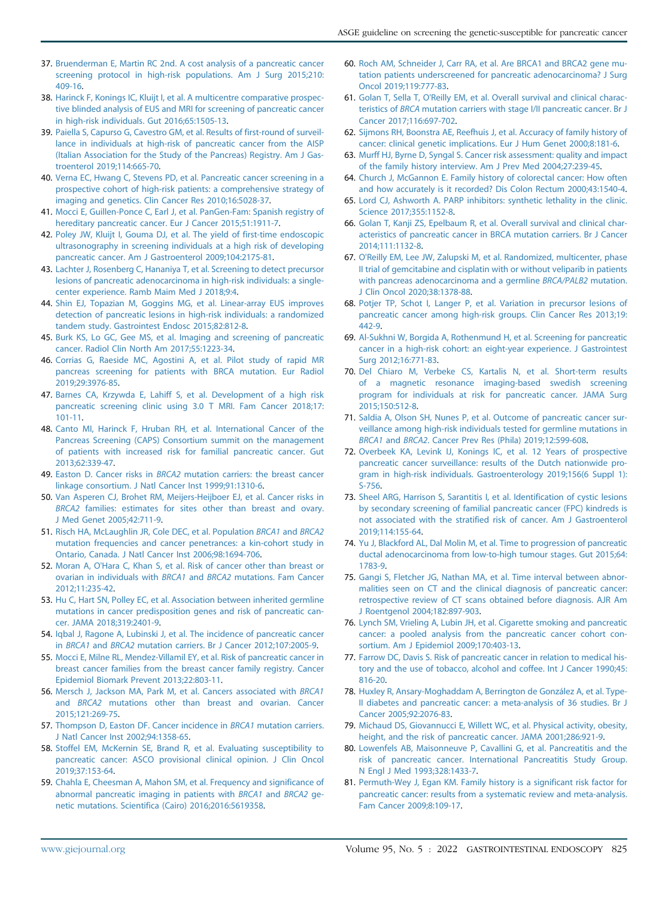- 37. [Bruenderman E, Martin RC 2nd. A cost analysis of a pancreatic cancer](http://refhub.elsevier.com/S0016-5107(21)01871-X/sref37) [screening protocol in high-risk populations. Am J Surg 2015;210:](http://refhub.elsevier.com/S0016-5107(21)01871-X/sref37) [409-16](http://refhub.elsevier.com/S0016-5107(21)01871-X/sref37).
- <span id="page-8-0"></span>38. [Harinck F, Konings IC, Kluijt I, et al. A multicentre comparative prospec](http://refhub.elsevier.com/S0016-5107(21)01871-X/sref38)[tive blinded analysis of EUS and MRI for screening of pancreatic cancer](http://refhub.elsevier.com/S0016-5107(21)01871-X/sref38) [in high-risk individuals. Gut 2016;65:1505-13.](http://refhub.elsevier.com/S0016-5107(21)01871-X/sref38)
- <span id="page-8-1"></span>39. [Paiella S, Capurso G, Cavestro GM, et al. Results of first-round of surveil](http://refhub.elsevier.com/S0016-5107(21)01871-X/sref39)[lance in individuals at high-risk of pancreatic cancer from the AISP](http://refhub.elsevier.com/S0016-5107(21)01871-X/sref39) [\(Italian Association for the Study of the Pancreas\) Registry. Am J Gas](http://refhub.elsevier.com/S0016-5107(21)01871-X/sref39)[troenterol 2019;114:665-70](http://refhub.elsevier.com/S0016-5107(21)01871-X/sref39).
- <span id="page-8-2"></span>40. [Verna EC, Hwang C, Stevens PD, et al. Pancreatic cancer screening in a](http://refhub.elsevier.com/S0016-5107(21)01871-X/sref40) [prospective cohort of high-risk patients: a comprehensive strategy of](http://refhub.elsevier.com/S0016-5107(21)01871-X/sref40) [imaging and genetics. Clin Cancer Res 2010;16:5028-37.](http://refhub.elsevier.com/S0016-5107(21)01871-X/sref40)
- <span id="page-8-19"></span>41. [Mocci E, Guillen-Ponce C, Earl J, et al. PanGen-Fam: Spanish registry of](http://refhub.elsevier.com/S0016-5107(21)01871-X/sref41) [hereditary pancreatic cancer. Eur J Cancer 2015;51:1911-7.](http://refhub.elsevier.com/S0016-5107(21)01871-X/sref41)
- 42. [Poley JW, Kluijt I, Gouma DJ, et al. The yield of first-time endoscopic](http://refhub.elsevier.com/S0016-5107(21)01871-X/sref42) [ultrasonography in screening individuals at a high risk of developing](http://refhub.elsevier.com/S0016-5107(21)01871-X/sref42) [pancreatic cancer. Am J Gastroenterol 2009;104:2175-81](http://refhub.elsevier.com/S0016-5107(21)01871-X/sref42).
- 43. [Lachter J, Rosenberg C, Hananiya T, et al. Screening to detect precursor](http://refhub.elsevier.com/S0016-5107(21)01871-X/sref43) [lesions of pancreatic adenocarcinoma in high-risk individuals: a single](http://refhub.elsevier.com/S0016-5107(21)01871-X/sref43)[center experience. Ramb Maim Med J 2018;9:4](http://refhub.elsevier.com/S0016-5107(21)01871-X/sref43).
- <span id="page-8-3"></span>44. [Shin EJ, Topazian M, Goggins MG, et al. Linear-array EUS improves](http://refhub.elsevier.com/S0016-5107(21)01871-X/sref44) [detection of pancreatic lesions in high-risk individuals: a randomized](http://refhub.elsevier.com/S0016-5107(21)01871-X/sref44) [tandem study. Gastrointest Endosc 2015;82:812-8.](http://refhub.elsevier.com/S0016-5107(21)01871-X/sref44)
- <span id="page-8-4"></span>45. [Burk KS, Lo GC, Gee MS, et al. Imaging and screening of pancreatic](http://refhub.elsevier.com/S0016-5107(21)01871-X/sref45) [cancer. Radiol Clin North Am 2017;55:1223-34.](http://refhub.elsevier.com/S0016-5107(21)01871-X/sref45)
- <span id="page-8-5"></span>46. [Corrias G, Raeside MC, Agostini A, et al. Pilot study of rapid MR](http://refhub.elsevier.com/S0016-5107(21)01871-X/sref46) [pancreas screening for patients with BRCA mutation. Eur Radiol](http://refhub.elsevier.com/S0016-5107(21)01871-X/sref46) [2019;29:3976-85.](http://refhub.elsevier.com/S0016-5107(21)01871-X/sref46)
- <span id="page-8-6"></span>47. [Barnes CA, Krzywda E, Lahiff S, et al. Development of a high risk](http://refhub.elsevier.com/S0016-5107(21)01871-X/sref47) [pancreatic screening clinic using 3.0 T MRI. Fam Cancer 2018;17:](http://refhub.elsevier.com/S0016-5107(21)01871-X/sref47) [101-11](http://refhub.elsevier.com/S0016-5107(21)01871-X/sref47).
- <span id="page-8-7"></span>48. [Canto MI, Harinck F, Hruban RH, et al. International Cancer of the](http://refhub.elsevier.com/S0016-5107(21)01871-X/sref48) [Pancreas Screening \(CAPS\) Consortium summit on the management](http://refhub.elsevier.com/S0016-5107(21)01871-X/sref48) [of patients with increased risk for familial pancreatic cancer. Gut](http://refhub.elsevier.com/S0016-5107(21)01871-X/sref48) [2013;62:339-47.](http://refhub.elsevier.com/S0016-5107(21)01871-X/sref48)
- <span id="page-8-8"></span>49. Easton D. Cancer risks in BRCA2 [mutation carriers: the breast cancer](http://refhub.elsevier.com/S0016-5107(21)01871-X/sref49) [linkage consortium. J Natl Cancer Inst 1999;91:1310-6.](http://refhub.elsevier.com/S0016-5107(21)01871-X/sref49)
- 50. [Van Asperen CJ, Brohet RM, Meijers-Heijboer EJ, et al. Cancer risks in](http://refhub.elsevier.com/S0016-5107(21)01871-X/sref50) BRCA2 [families: estimates for sites other than breast and ovary.](http://refhub.elsevier.com/S0016-5107(21)01871-X/sref50) [J Med Genet 2005;42:711-9](http://refhub.elsevier.com/S0016-5107(21)01871-X/sref50).
- <span id="page-8-10"></span>51. [Risch HA, McLaughlin JR, Cole DEC, et al. Population](http://refhub.elsevier.com/S0016-5107(21)01871-X/sref51) BRCA1 and BRCA2 [mutation frequencies and cancer penetrances: a kin-cohort study in](http://refhub.elsevier.com/S0016-5107(21)01871-X/sref51) [Ontario, Canada. J Natl Cancer Inst 2006;98:1694-706.](http://refhub.elsevier.com/S0016-5107(21)01871-X/sref51)
- 52. [Moran A, O'Hara C, Khan S, et al. Risk of cancer other than breast or](http://refhub.elsevier.com/S0016-5107(21)01871-X/sref52) [ovarian in individuals with](http://refhub.elsevier.com/S0016-5107(21)01871-X/sref52) BRCA1 and BRCA2 mutations. Fam Cancer [2012;11:235-42.](http://refhub.elsevier.com/S0016-5107(21)01871-X/sref52)
- 53. [Hu C, Hart SN, Polley EC, et al. Association between inherited germline](http://refhub.elsevier.com/S0016-5107(21)01871-X/sref53) [mutations in cancer predisposition genes and risk of pancreatic can](http://refhub.elsevier.com/S0016-5107(21)01871-X/sref53)[cer. JAMA 2018;319:2401-9.](http://refhub.elsevier.com/S0016-5107(21)01871-X/sref53)
- <span id="page-8-9"></span>54. [Iqbal J, Ragone A, Lubinski J, et al. The incidence of pancreatic cancer](http://refhub.elsevier.com/S0016-5107(21)01871-X/sref54) in BRCA1 and BRCA2 [mutation carriers. Br J Cancer 2012;107:2005-9](http://refhub.elsevier.com/S0016-5107(21)01871-X/sref54).
- 55. [Mocci E, Milne RL, Mendez-Villamil EY, et al. Risk of pancreatic cancer in](http://refhub.elsevier.com/S0016-5107(21)01871-X/sref55) [breast cancer families from the breast cancer family registry. Cancer](http://refhub.elsevier.com/S0016-5107(21)01871-X/sref55) [Epidemiol Biomark Prevent 2013;22:803-11.](http://refhub.elsevier.com/S0016-5107(21)01871-X/sref55)
- 56. [Mersch J, Jackson MA, Park M, et al. Cancers associated with](http://refhub.elsevier.com/S0016-5107(21)01871-X/sref56) BRCA1 and BRCA2 [mutations other than breast and ovarian. Cancer](http://refhub.elsevier.com/S0016-5107(21)01871-X/sref56) [2015;121:269-75.](http://refhub.elsevier.com/S0016-5107(21)01871-X/sref56)
- <span id="page-8-11"></span>57. [Thompson D, Easton DF. Cancer incidence in](http://refhub.elsevier.com/S0016-5107(21)01871-X/sref57) BRCA1 mutation carriers. [J Natl Cancer Inst 2002;94:1358-65](http://refhub.elsevier.com/S0016-5107(21)01871-X/sref57).
- <span id="page-8-12"></span>58. [Stoffel EM, McKernin SE, Brand R, et al. Evaluating susceptibility to](http://refhub.elsevier.com/S0016-5107(21)01871-X/sref59) [pancreatic cancer: ASCO provisional clinical opinion. J Clin Oncol](http://refhub.elsevier.com/S0016-5107(21)01871-X/sref59) [2019;37:153-64.](http://refhub.elsevier.com/S0016-5107(21)01871-X/sref59)
- <span id="page-8-13"></span>59. [Chahla E, Cheesman A, Mahon SM, et al. Frequency and significance of](http://refhub.elsevier.com/S0016-5107(21)01871-X/sref62) [abnormal pancreatic imaging in patients with](http://refhub.elsevier.com/S0016-5107(21)01871-X/sref62) BRCA1 and BRCA2 ge[netic mutations. Scientifica \(Cairo\) 2016;2016:5619358.](http://refhub.elsevier.com/S0016-5107(21)01871-X/sref62)
- <span id="page-8-14"></span>60. [Roch AM, Schneider J, Carr RA, et al. Are BRCA1 and BRCA2 gene mu](http://refhub.elsevier.com/S0016-5107(21)01871-X/sref60)[tation patients underscreened for pancreatic adenocarcinoma? J Surg](http://refhub.elsevier.com/S0016-5107(21)01871-X/sref60) [Oncol 2019;119:777-83](http://refhub.elsevier.com/S0016-5107(21)01871-X/sref60).
- <span id="page-8-15"></span>61. [Golan T, Sella T, O'Reilly EM, et al. Overall survival and clinical charac](http://refhub.elsevier.com/S0016-5107(21)01871-X/sref600)teristics of BRCA [mutation carriers with stage I/II pancreatic cancer. Br J](http://refhub.elsevier.com/S0016-5107(21)01871-X/sref600) [Cancer 2017;116:697-702.](http://refhub.elsevier.com/S0016-5107(21)01871-X/sref600)
- <span id="page-8-16"></span>62. [Sijmons RH, Boonstra AE, Reefhuis J, et al. Accuracy of family history of](http://refhub.elsevier.com/S0016-5107(21)01871-X/sref63) [cancer: clinical genetic implications. Eur J Hum Genet 2000;8:181-6.](http://refhub.elsevier.com/S0016-5107(21)01871-X/sref63)
- 63. [Murff HJ, Byrne D, Syngal S. Cancer risk assessment: quality and impact](http://refhub.elsevier.com/S0016-5107(21)01871-X/sref64) [of the family history interview. Am J Prev Med 2004;27:239-45](http://refhub.elsevier.com/S0016-5107(21)01871-X/sref64).
- 64. [Church J, McGannon E. Family history of colorectal cancer: How often](http://refhub.elsevier.com/S0016-5107(21)01871-X/sref65) [and how accurately is it recorded? Dis Colon Rectum 2000;43:1540-4](http://refhub.elsevier.com/S0016-5107(21)01871-X/sref65).
- <span id="page-8-17"></span>65. [Lord CJ, Ashworth A. PARP inhibitors: synthetic lethality in the clinic.](http://refhub.elsevier.com/S0016-5107(21)01871-X/sref66) [Science 2017;355:1152-8](http://refhub.elsevier.com/S0016-5107(21)01871-X/sref66).
- 66. [Golan T, Kanji ZS, Epelbaum R, et al. Overall survival and clinical char](http://refhub.elsevier.com/S0016-5107(21)01871-X/sref67)[acteristics of pancreatic cancer in BRCA mutation carriers. Br J Cancer](http://refhub.elsevier.com/S0016-5107(21)01871-X/sref67) [2014;111:1132-8](http://refhub.elsevier.com/S0016-5107(21)01871-X/sref67).
- <span id="page-8-18"></span>67. [O'Reilly EM, Lee JW, Zalupski M, et al. Randomized, multicenter, phase](http://refhub.elsevier.com/S0016-5107(21)01871-X/sref68) [II trial of gemcitabine and cisplatin with or without veliparib in patients](http://refhub.elsevier.com/S0016-5107(21)01871-X/sref68) [with pancreas adenocarcinoma and a germline](http://refhub.elsevier.com/S0016-5107(21)01871-X/sref68) BRCA/PALB2 mutation. [J Clin Oncol 2020;38:1378-88](http://refhub.elsevier.com/S0016-5107(21)01871-X/sref68).
- <span id="page-8-20"></span>68. [Potjer TP, Schot I, Langer P, et al. Variation in precursor lesions of](http://refhub.elsevier.com/S0016-5107(21)01871-X/sref69) [pancreatic cancer among high-risk groups. Clin Cancer Res 2013;19:](http://refhub.elsevier.com/S0016-5107(21)01871-X/sref69) [442-9.](http://refhub.elsevier.com/S0016-5107(21)01871-X/sref69)
- 69. [Al-Sukhni W, Borgida A, Rothenmund H, et al. Screening for pancreatic](http://refhub.elsevier.com/S0016-5107(21)01871-X/sref70) [cancer in a high-risk cohort: an eight-year experience. J Gastrointest](http://refhub.elsevier.com/S0016-5107(21)01871-X/sref70) [Surg 2012;16:771-83](http://refhub.elsevier.com/S0016-5107(21)01871-X/sref70).
- 70. [Del Chiaro M, Verbeke CS, Kartalis N, et al. Short-term results](http://refhub.elsevier.com/S0016-5107(21)01871-X/sref71) [of a magnetic resonance imaging-based swedish screening](http://refhub.elsevier.com/S0016-5107(21)01871-X/sref71) [program for individuals at risk for pancreatic cancer. JAMA Surg](http://refhub.elsevier.com/S0016-5107(21)01871-X/sref71) [2015;150:512-8](http://refhub.elsevier.com/S0016-5107(21)01871-X/sref71).
- 71. [Saldia A, Olson SH, Nunes P, et al. Outcome of pancreatic cancer sur](http://refhub.elsevier.com/S0016-5107(21)01871-X/sref72)[veillance among high-risk individuals tested for germline mutations in](http://refhub.elsevier.com/S0016-5107(21)01871-X/sref72) BRCA1 and BRCA2[. Cancer Prev Res \(Phila\) 2019;12:599-608](http://refhub.elsevier.com/S0016-5107(21)01871-X/sref72).
- 72. [Overbeek KA, Levink IJ, Konings IC, et al. 12 Years of prospective](http://refhub.elsevier.com/S0016-5107(21)01871-X/sref73) [pancreatic cancer surveillance: results of the Dutch nationwide pro](http://refhub.elsevier.com/S0016-5107(21)01871-X/sref73)[gram in high-risk individuals. Gastroenterology 2019;156\(6 Suppl 1\):](http://refhub.elsevier.com/S0016-5107(21)01871-X/sref73) [S-756](http://refhub.elsevier.com/S0016-5107(21)01871-X/sref73).
- 73. [Sheel ARG, Harrison S, Sarantitis I, et al. Identification of cystic lesions](http://refhub.elsevier.com/S0016-5107(21)01871-X/sref74) [by secondary screening of familial pancreatic cancer \(FPC\) kindreds is](http://refhub.elsevier.com/S0016-5107(21)01871-X/sref74) [not associated with the stratified risk of cancer. Am J Gastroenterol](http://refhub.elsevier.com/S0016-5107(21)01871-X/sref74) [2019;114:155-64](http://refhub.elsevier.com/S0016-5107(21)01871-X/sref74).
- <span id="page-8-21"></span>74. [Yu J, Blackford AL, Dal Molin M, et al. Time to progression of pancreatic](http://refhub.elsevier.com/S0016-5107(21)01871-X/sref75) [ductal adenocarcinoma from low-to-high tumour stages. Gut 2015;64:](http://refhub.elsevier.com/S0016-5107(21)01871-X/sref75) [1783-9.](http://refhub.elsevier.com/S0016-5107(21)01871-X/sref75)
- <span id="page-8-22"></span>75. [Gangi S, Fletcher JG, Nathan MA, et al. Time interval between abnor](http://refhub.elsevier.com/S0016-5107(21)01871-X/sref76)[malities seen on CT and the clinical diagnosis of pancreatic cancer:](http://refhub.elsevier.com/S0016-5107(21)01871-X/sref76) [retrospective review of CT scans obtained before diagnosis. AJR Am](http://refhub.elsevier.com/S0016-5107(21)01871-X/sref76) [J Roentgenol 2004;182:897-903.](http://refhub.elsevier.com/S0016-5107(21)01871-X/sref76)
- <span id="page-8-23"></span>76. [Lynch SM, Vrieling A, Lubin JH, et al. Cigarette smoking and pancreatic](http://refhub.elsevier.com/S0016-5107(21)01871-X/sref77) [cancer: a pooled analysis from the pancreatic cancer cohort con](http://refhub.elsevier.com/S0016-5107(21)01871-X/sref77)[sortium. Am J Epidemiol 2009;170:403-13](http://refhub.elsevier.com/S0016-5107(21)01871-X/sref77).
- 77. [Farrow DC, Davis S. Risk of pancreatic cancer in relation to medical his](http://refhub.elsevier.com/S0016-5107(21)01871-X/sref78)[tory and the use of tobacco, alcohol and coffee. Int J Cancer 1990;45:](http://refhub.elsevier.com/S0016-5107(21)01871-X/sref78) [816-20.](http://refhub.elsevier.com/S0016-5107(21)01871-X/sref78)
- 78. [Huxley R, Ansary-Moghaddam A, Berrington de González A, et al. Type-](http://refhub.elsevier.com/S0016-5107(21)01871-X/sref79)[II diabetes and pancreatic cancer: a meta-analysis of 36 studies. Br J](http://refhub.elsevier.com/S0016-5107(21)01871-X/sref79) [Cancer 2005;92:2076-83.](http://refhub.elsevier.com/S0016-5107(21)01871-X/sref79)
- 79. [Michaud DS, Giovannucci E, Willett WC, et al. Physical activity, obesity,](http://refhub.elsevier.com/S0016-5107(21)01871-X/sref80) [height, and the risk of pancreatic cancer. JAMA 2001;286:921-9.](http://refhub.elsevier.com/S0016-5107(21)01871-X/sref80)
- 80. [Lowenfels AB, Maisonneuve P, Cavallini G, et al. Pancreatitis and the](http://refhub.elsevier.com/S0016-5107(21)01871-X/sref81) [risk of pancreatic cancer. International Pancreatitis Study Group.](http://refhub.elsevier.com/S0016-5107(21)01871-X/sref81) [N Engl J Med 1993;328:1433-7](http://refhub.elsevier.com/S0016-5107(21)01871-X/sref81).
- <span id="page-8-24"></span>81. [Permuth-Wey J, Egan KM. Family history is a significant risk factor for](http://refhub.elsevier.com/S0016-5107(21)01871-X/sref82) [pancreatic cancer: results from a systematic review and meta-analysis.](http://refhub.elsevier.com/S0016-5107(21)01871-X/sref82) [Fam Cancer 2009;8:109-17.](http://refhub.elsevier.com/S0016-5107(21)01871-X/sref82)